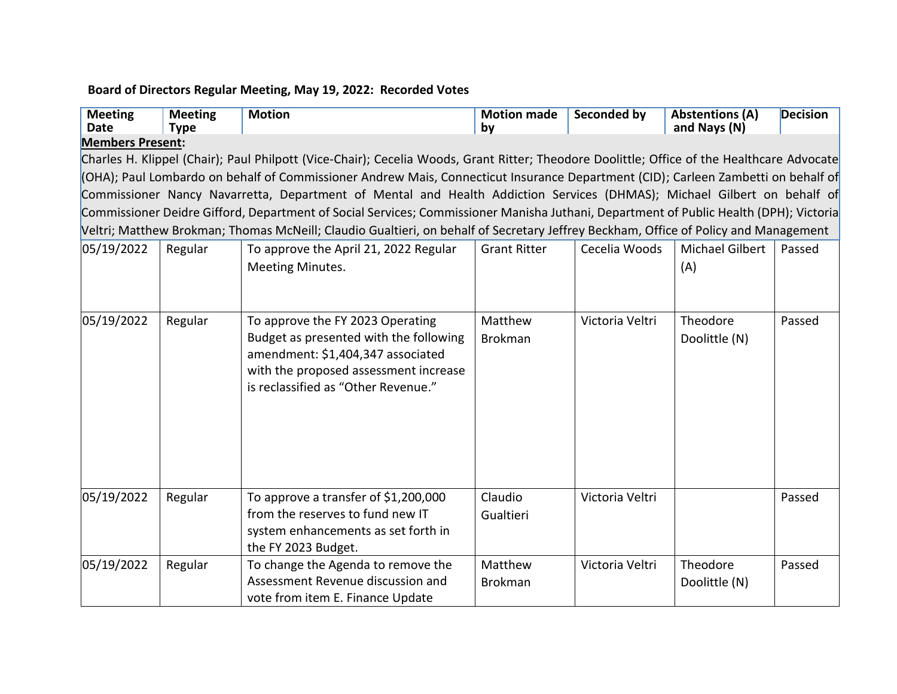## **Board of Directors Regular Meeting, May 19, 2022: Recorded Votes**

| <b>Meeting</b><br><b>Date</b>                                                                                                         | <b>Meeting</b><br><b>Type</b> | <b>Motion</b>                                                                                                                              | <b>Motion made</b><br>by | Seconded by     | <b>Abstentions (A)</b><br>and Nays (N) | <b>Decision</b> |  |  |  |  |  |  |
|---------------------------------------------------------------------------------------------------------------------------------------|-------------------------------|--------------------------------------------------------------------------------------------------------------------------------------------|--------------------------|-----------------|----------------------------------------|-----------------|--|--|--|--|--|--|
| <b>Members Present:</b>                                                                                                               |                               |                                                                                                                                            |                          |                 |                                        |                 |  |  |  |  |  |  |
|                                                                                                                                       |                               | Charles H. Klippel (Chair); Paul Philpott (Vice-Chair); Cecelia Woods, Grant Ritter; Theodore Doolittle; Office of the Healthcare Advocate |                          |                 |                                        |                 |  |  |  |  |  |  |
|                                                                                                                                       |                               | (OHA); Paul Lombardo on behalf of Commissioner Andrew Mais, Connecticut Insurance Department (CID); Carleen Zambetti on behalf of          |                          |                 |                                        |                 |  |  |  |  |  |  |
| Commissioner Nancy Navarretta, Department of Mental and Health Addiction Services (DHMAS); Michael Gilbert on behalf of               |                               |                                                                                                                                            |                          |                 |                                        |                 |  |  |  |  |  |  |
| Commissioner Deidre Gifford, Department of Social Services; Commissioner Manisha Juthani, Department of Public Health (DPH); Victoria |                               |                                                                                                                                            |                          |                 |                                        |                 |  |  |  |  |  |  |
| Veltri; Matthew Brokman; Thomas McNeill; Claudio Gualtieri, on behalf of Secretary Jeffrey Beckham, Office of Policy and Management   |                               |                                                                                                                                            |                          |                 |                                        |                 |  |  |  |  |  |  |
| 05/19/2022                                                                                                                            | Regular                       | To approve the April 21, 2022 Regular                                                                                                      | <b>Grant Ritter</b>      | Cecelia Woods   | <b>Michael Gilbert</b>                 | Passed          |  |  |  |  |  |  |
|                                                                                                                                       |                               | Meeting Minutes.                                                                                                                           |                          |                 | (A)                                    |                 |  |  |  |  |  |  |
|                                                                                                                                       |                               |                                                                                                                                            |                          |                 |                                        |                 |  |  |  |  |  |  |
|                                                                                                                                       |                               |                                                                                                                                            |                          |                 |                                        |                 |  |  |  |  |  |  |
| 05/19/2022                                                                                                                            | Regular                       | To approve the FY 2023 Operating                                                                                                           | Matthew                  | Victoria Veltri | Theodore                               | Passed          |  |  |  |  |  |  |
|                                                                                                                                       |                               | Budget as presented with the following                                                                                                     | <b>Brokman</b>           |                 | Doolittle (N)                          |                 |  |  |  |  |  |  |
|                                                                                                                                       |                               | amendment: \$1,404,347 associated                                                                                                          |                          |                 |                                        |                 |  |  |  |  |  |  |
|                                                                                                                                       |                               | with the proposed assessment increase                                                                                                      |                          |                 |                                        |                 |  |  |  |  |  |  |
|                                                                                                                                       |                               | is reclassified as "Other Revenue."                                                                                                        |                          |                 |                                        |                 |  |  |  |  |  |  |
|                                                                                                                                       |                               |                                                                                                                                            |                          |                 |                                        |                 |  |  |  |  |  |  |
|                                                                                                                                       |                               |                                                                                                                                            |                          |                 |                                        |                 |  |  |  |  |  |  |
|                                                                                                                                       |                               |                                                                                                                                            |                          |                 |                                        |                 |  |  |  |  |  |  |
|                                                                                                                                       |                               |                                                                                                                                            |                          |                 |                                        |                 |  |  |  |  |  |  |
|                                                                                                                                       |                               |                                                                                                                                            |                          |                 |                                        |                 |  |  |  |  |  |  |
| 05/19/2022                                                                                                                            | Regular                       | To approve a transfer of \$1,200,000                                                                                                       | Claudio                  | Victoria Veltri |                                        | Passed          |  |  |  |  |  |  |
|                                                                                                                                       |                               | from the reserves to fund new IT                                                                                                           | Gualtieri                |                 |                                        |                 |  |  |  |  |  |  |
|                                                                                                                                       |                               | system enhancements as set forth in                                                                                                        |                          |                 |                                        |                 |  |  |  |  |  |  |
|                                                                                                                                       |                               | the FY 2023 Budget.                                                                                                                        |                          |                 |                                        |                 |  |  |  |  |  |  |
| 05/19/2022                                                                                                                            | Regular                       | To change the Agenda to remove the                                                                                                         | Matthew                  | Victoria Veltri | Theodore                               | Passed          |  |  |  |  |  |  |
|                                                                                                                                       |                               | Assessment Revenue discussion and                                                                                                          | <b>Brokman</b>           |                 | Doolittle (N)                          |                 |  |  |  |  |  |  |
|                                                                                                                                       |                               | vote from item E. Finance Update                                                                                                           |                          |                 |                                        |                 |  |  |  |  |  |  |